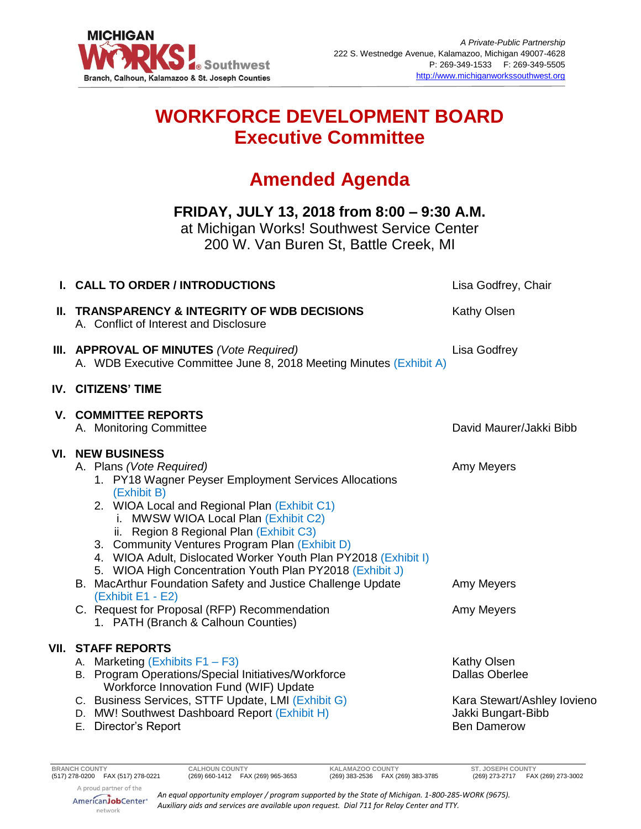

## **WORKFORCE DEVELOPMENT BOARD Executive Committee**

# **Amended Agenda**

### **FRIDAY, JULY 13, 2018 from 8:00 – 9:30 A.M.**

at Michigan Works! Southwest Service Center 200 W. Van Buren St, Battle Creek, MI

| <b>I. CALL TO ORDER / INTRODUCTIONS</b>                                                                                                                                                                                                                                                                                                                                                                                                                                                                                                                                                        | Lisa Godfrey, Chair                                                                                                                                                                                                                                                                  |
|------------------------------------------------------------------------------------------------------------------------------------------------------------------------------------------------------------------------------------------------------------------------------------------------------------------------------------------------------------------------------------------------------------------------------------------------------------------------------------------------------------------------------------------------------------------------------------------------|--------------------------------------------------------------------------------------------------------------------------------------------------------------------------------------------------------------------------------------------------------------------------------------|
| A. Conflict of Interest and Disclosure                                                                                                                                                                                                                                                                                                                                                                                                                                                                                                                                                         | <b>Kathy Olsen</b>                                                                                                                                                                                                                                                                   |
|                                                                                                                                                                                                                                                                                                                                                                                                                                                                                                                                                                                                | Lisa Godfrey                                                                                                                                                                                                                                                                         |
|                                                                                                                                                                                                                                                                                                                                                                                                                                                                                                                                                                                                |                                                                                                                                                                                                                                                                                      |
| A. Monitoring Committee                                                                                                                                                                                                                                                                                                                                                                                                                                                                                                                                                                        | David Maurer/Jakki Bibb                                                                                                                                                                                                                                                              |
| A. Plans (Vote Required)<br>1. PY18 Wagner Peyser Employment Services Allocations<br>(Exhibit B)<br>2. WIOA Local and Regional Plan (Exhibit C1)<br>i. MWSW WIOA Local Plan (Exhibit C2)<br>ii. Region 8 Regional Plan (Exhibit C3)<br>3. Community Ventures Program Plan (Exhibit D)<br>4. WIOA Adult, Dislocated Worker Youth Plan PY2018 (Exhibit I)<br>5. WIOA High Concentration Youth Plan PY2018 (Exhibit J)<br>B. MacArthur Foundation Safety and Justice Challenge Update<br>(Exhibit E1 - E2)<br>C. Request for Proposal (RFP) Recommendation<br>1. PATH (Branch & Calhoun Counties) | Amy Meyers<br>Amy Meyers<br>Amy Meyers                                                                                                                                                                                                                                               |
| A. Marketing (Exhibits F1 - F3)<br>B. Program Operations/Special Initiatives/Workforce<br>Workforce Innovation Fund (WIF) Update<br>C. Business Services, STTF Update, LMI (Exhibit G)<br>D. MW! Southwest Dashboard Report (Exhibit H)<br>E. Director's Report                                                                                                                                                                                                                                                                                                                                | Kathy Olsen<br><b>Dallas Oberlee</b><br>Kara Stewart/Ashley lovieno<br>Jakki Bungart-Bibb<br><b>Ben Damerow</b>                                                                                                                                                                      |
|                                                                                                                                                                                                                                                                                                                                                                                                                                                                                                                                                                                                | II. TRANSPARENCY & INTEGRITY OF WDB DECISIONS<br>III. APPROVAL OF MINUTES (Vote Required)<br>A. WDB Executive Committee June 8, 2018 Meeting Minutes (Exhibit A)<br><b>IV. CITIZENS' TIME</b><br><b>V. COMMITTEE REPORTS</b><br><b>VI. NEW BUSINESS</b><br><b>VII. STAFF REPORTS</b> |

*An equal opportunity employer / program supported by the State of Michigan. 1-800-285-WORK (9675). Auxiliary aids and services are available upon request. Dial 711 for Relay Center and TTY.*